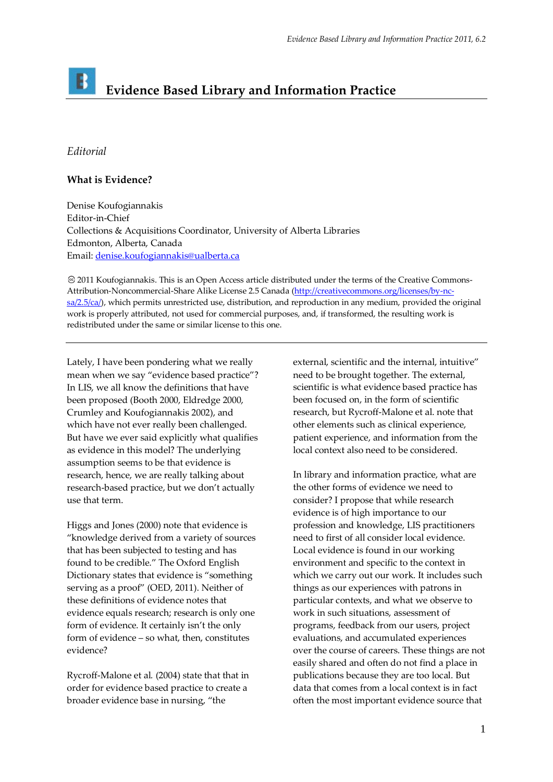## B **Evidence Based Library and Information Practice**

## *Editorial*

## **What is Evidence?**

Denise Koufogiannakis Editor-in-Chief Collections & Acquisitions Coordinator, University of Alberta Libraries Edmonton, Alberta, Canada Email: [denise.koufogiannakis@ualberta.ca](mailto:denise.koufogiannakis@ualberta.ca)

2011 Koufogiannakis. This is an Open Access article distributed under the terms of the Creative Commons-Attribution-Noncommercial-Share Alike License 2.5 Canada (http://creativecommons.org/licenses/by-nc $sa/2.5/ca$ ), which permits unrestricted use, distribution, and reproduction in any medium, provided the original work is properly attributed, not used for commercial purposes, and, if transformed, the resulting work is redistributed under the same or similar license to this one.

Lately, I have been pondering what we really mean when we say "evidence based practice"? In LIS, we all know the definitions that have been proposed (Booth 2000, Eldredge 2000, Crumley and Koufogiannakis 2002), and which have not ever really been challenged. But have we ever said explicitly what qualifies as evidence in this model? The underlying assumption seems to be that evidence is research, hence, we are really talking about research-based practice, but we don't actually use that term.

Higgs and Jones (2000) note that evidence is "knowledge derived from a variety of sources that has been subjected to testing and has found to be credible." The Oxford English Dictionary states that evidence is "something serving as a proof" (OED, 2011). Neither of these definitions of evidence notes that evidence equals research; research is only one form of evidence. It certainly isn't the only form of evidence – so what, then, constitutes evidence?

Rycroff-Malone et al*.* (2004) state that that in order for evidence based practice to create a broader evidence base in nursing, "the

external, scientific and the internal, intuitive" need to be brought together. The external, scientific is what evidence based practice has been focused on, in the form of scientific research, but Rycroff-Malone et al. note that other elements such as clinical experience, patient experience, and information from the local context also need to be considered.

In library and information practice, what are the other forms of evidence we need to consider? I propose that while research evidence is of high importance to our profession and knowledge, LIS practitioners need to first of all consider local evidence. Local evidence is found in our working environment and specific to the context in which we carry out our work. It includes such things as our experiences with patrons in particular contexts, and what we observe to work in such situations, assessment of programs, feedback from our users, project evaluations, and accumulated experiences over the course of careers. These things are not easily shared and often do not find a place in publications because they are too local. But data that comes from a local context is in fact often the most important evidence source that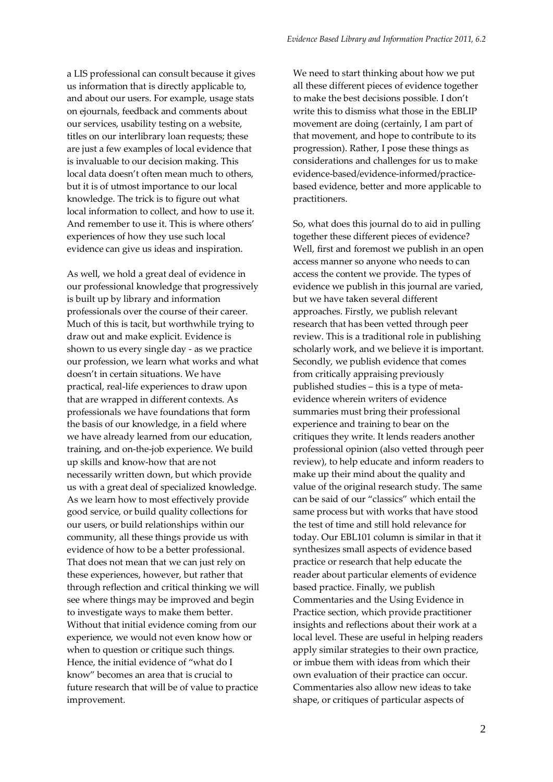a LIS professional can consult because it gives us information that is directly applicable to, and about our users. For example, usage stats on ejournals, feedback and comments about our services, usability testing on a website, titles on our interlibrary loan requests; these are just a few examples of local evidence that is invaluable to our decision making. This local data doesn't often mean much to others, but it is of utmost importance to our local knowledge. The trick is to figure out what local information to collect, and how to use it. And remember to use it. This is where others' experiences of how they use such local evidence can give us ideas and inspiration.

As well, we hold a great deal of evidence in our professional knowledge that progressively is built up by library and information professionals over the course of their career. Much of this is tacit, but worthwhile trying to draw out and make explicit. Evidence is shown to us every single day - as we practice our profession, we learn what works and what doesn't in certain situations. We have practical, real-life experiences to draw upon that are wrapped in different contexts. As professionals we have foundations that form the basis of our knowledge, in a field where we have already learned from our education, training, and on-the-job experience. We build up skills and know-how that are not necessarily written down, but which provide us with a great deal of specialized knowledge. As we learn how to most effectively provide good service, or build quality collections for our users, or build relationships within our community, all these things provide us with evidence of how to be a better professional. That does not mean that we can just rely on these experiences, however, but rather that through reflection and critical thinking we will see where things may be improved and begin to investigate ways to make them better. Without that initial evidence coming from our experience, we would not even know how or when to question or critique such things. Hence, the initial evidence of "what do I know" becomes an area that is crucial to future research that will be of value to practice improvement.

We need to start thinking about how we put all these different pieces of evidence together to make the best decisions possible. I don't write this to dismiss what those in the EBLIP movement are doing (certainly, I am part of that movement, and hope to contribute to its progression). Rather, I pose these things as considerations and challenges for us to make evidence-based/evidence-informed/practicebased evidence, better and more applicable to practitioners.

So, what does this journal do to aid in pulling together these different pieces of evidence? Well, first and foremost we publish in an open access manner so anyone who needs to can access the content we provide. The types of evidence we publish in this journal are varied, but we have taken several different approaches. Firstly, we publish relevant research that has been vetted through peer review. This is a traditional role in publishing scholarly work, and we believe it is important. Secondly, we publish evidence that comes from critically appraising previously published studies – this is a type of metaevidence wherein writers of evidence summaries must bring their professional experience and training to bear on the critiques they write. It lends readers another professional opinion (also vetted through peer review), to help educate and inform readers to make up their mind about the quality and value of the original research study. The same can be said of our "classics" which entail the same process but with works that have stood the test of time and still hold relevance for today. Our EBL101 column is similar in that it synthesizes small aspects of evidence based practice or research that help educate the reader about particular elements of evidence based practice. Finally, we publish Commentaries and the Using Evidence in Practice section, which provide practitioner insights and reflections about their work at a local level. These are useful in helping readers apply similar strategies to their own practice, or imbue them with ideas from which their own evaluation of their practice can occur. Commentaries also allow new ideas to take shape, or critiques of particular aspects of